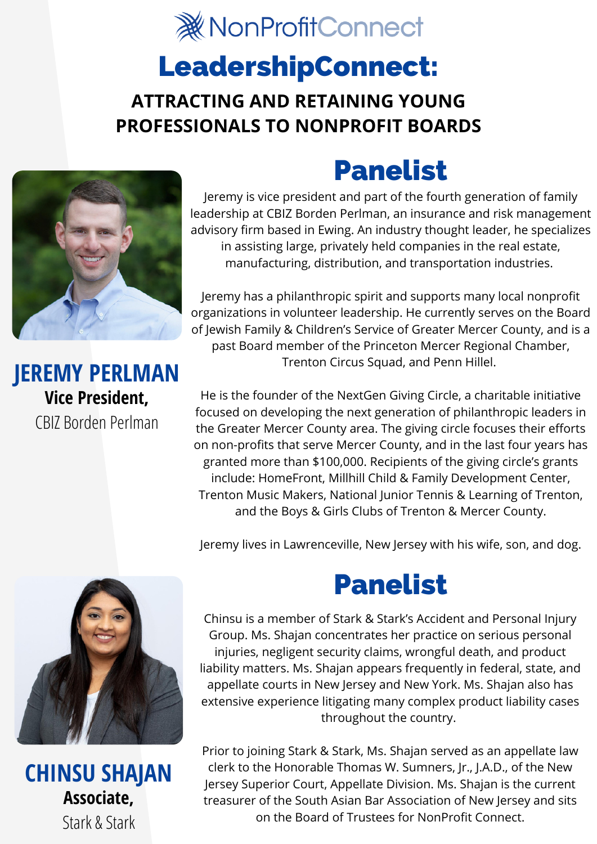# **※NonProfitConnect**

### LeadershipConnect:

#### **ATTRACTING AND RETAINING YOUNG PROFESSIONALS TO NONPROFIT BOARDS**



**JEREMY PERLMAN Vice President,** CBIZ Borden Perlman



**CHINSU SHAJAN Associate,** Stark & Stark

#### Panelist

Jeremy is vice president and part of the fourth generation of family leadership at CBIZ Borden Perlman, an insurance and risk management advisory firm based in Ewing. An industry thought leader, he specializes in assisting large, privately held companies in the real estate, manufacturing, distribution, and transportation industries.

Jeremy has a philanthropic spirit and supports many local nonprofit organizations in volunteer leadership. He currently serves on the Board of Jewish Family & Children's Service of Greater Mercer County, and is a past Board member of the Princeton Mercer Regional Chamber, Trenton Circus Squad, and Penn Hillel.

He is the founder of the NextGen Giving Circle, a charitable initiative focused on developing the next generation of philanthropic leaders in the Greater Mercer County area. The giving circle focuses their efforts on non-profits that serve Mercer County, and in the last four years has granted more than \$100,000. Recipients of the giving circle's grants include: HomeFront, Millhill Child & Family Development Center, Trenton Music Makers, National Junior Tennis & Learning of Trenton, and the Boys & Girls Clubs of Trenton & Mercer County.

Jeremy lives in Lawrenceville, New Jersey with his wife, son, and dog.

### Panelist

Chinsu is a member of Stark & Stark's Accident and Personal Injury Group. Ms. Shajan concentrates her practice on serious personal injuries, negligent security claims, wrongful death, and product liability matters. Ms. Shajan appears frequently in federal, state, and appellate courts in New Jersey and New York. Ms. Shajan also has extensive experience litigating many complex product liability cases throughout the country.

Prior to joining Stark & Stark, Ms. Shajan served as an appellate law clerk to the Honorable Thomas W. Sumners, Jr., J.A.D., of the New Jersey Superior Court, Appellate Division. Ms. Shajan is the current treasurer of the South Asian Bar Association of New Jersey and sits on the Board of Trustees for NonProfit Connect.